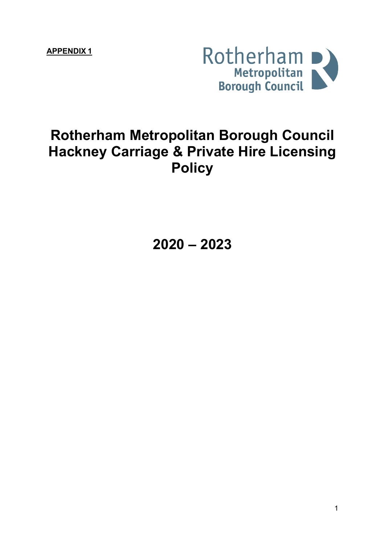**APPENDIX 1**



# **Rotherham Metropolitan Borough Council Hackney Carriage & Private Hire Licensing Policy**

**2020 – 2023**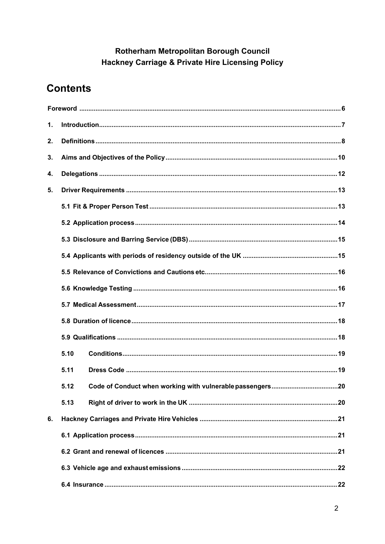### Rotherham Metropolitan Borough Council Hackney Carriage & Private Hire Licensing Policy

# **Contents**

| 1. |      |  |  |  |  |
|----|------|--|--|--|--|
| 2. |      |  |  |  |  |
| 3. |      |  |  |  |  |
| 4. |      |  |  |  |  |
| 5. |      |  |  |  |  |
|    |      |  |  |  |  |
|    |      |  |  |  |  |
|    |      |  |  |  |  |
|    |      |  |  |  |  |
|    |      |  |  |  |  |
|    |      |  |  |  |  |
|    |      |  |  |  |  |
|    |      |  |  |  |  |
|    |      |  |  |  |  |
|    | 5.10 |  |  |  |  |
|    | 5.11 |  |  |  |  |
|    | 5.12 |  |  |  |  |
|    | 5.13 |  |  |  |  |
| 6. |      |  |  |  |  |
|    |      |  |  |  |  |
|    |      |  |  |  |  |
|    |      |  |  |  |  |
|    |      |  |  |  |  |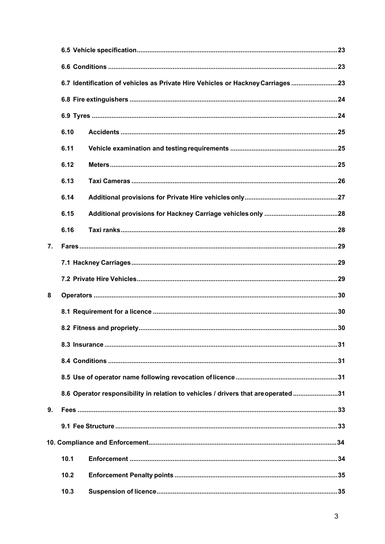|    | 6.7 Identification of vehicles as Private Hire Vehicles or Hackney Carriages 23 |  |                                                                                    |  |
|----|---------------------------------------------------------------------------------|--|------------------------------------------------------------------------------------|--|
|    |                                                                                 |  |                                                                                    |  |
|    |                                                                                 |  |                                                                                    |  |
|    | 6.10                                                                            |  |                                                                                    |  |
|    | 6.11                                                                            |  |                                                                                    |  |
|    | 6.12                                                                            |  |                                                                                    |  |
|    | 6.13                                                                            |  |                                                                                    |  |
|    | 6.14                                                                            |  |                                                                                    |  |
|    | 6.15                                                                            |  |                                                                                    |  |
|    | 6.16                                                                            |  |                                                                                    |  |
| 7. |                                                                                 |  |                                                                                    |  |
|    |                                                                                 |  |                                                                                    |  |
|    |                                                                                 |  |                                                                                    |  |
| 8  |                                                                                 |  |                                                                                    |  |
|    |                                                                                 |  |                                                                                    |  |
|    |                                                                                 |  |                                                                                    |  |
|    |                                                                                 |  |                                                                                    |  |
|    |                                                                                 |  |                                                                                    |  |
|    |                                                                                 |  |                                                                                    |  |
|    |                                                                                 |  |                                                                                    |  |
| 9. |                                                                                 |  |                                                                                    |  |
|    |                                                                                 |  |                                                                                    |  |
|    |                                                                                 |  |                                                                                    |  |
|    | 10.1                                                                            |  |                                                                                    |  |
|    | 10.2                                                                            |  |                                                                                    |  |
|    | 10.3                                                                            |  |                                                                                    |  |
|    |                                                                                 |  | 8.6 Operator responsibility in relation to vehicles / drivers that are operated 31 |  |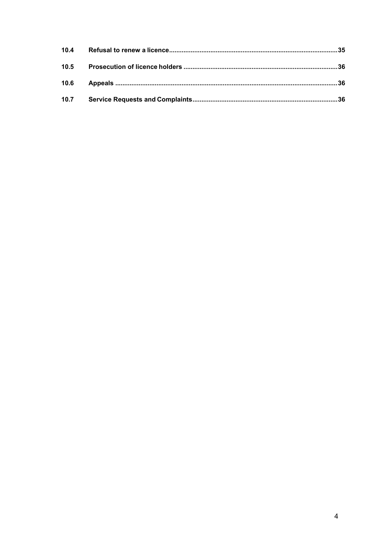| 10.4 |  |
|------|--|
| 10.5 |  |
| 10.6 |  |
| 10.7 |  |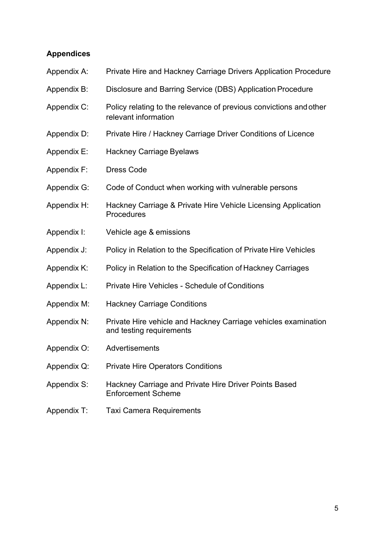### **Appendices**

| Appendix A: | Private Hire and Hackney Carriage Drivers Application Procedure                            |
|-------------|--------------------------------------------------------------------------------------------|
| Appendix B: | Disclosure and Barring Service (DBS) Application Procedure                                 |
| Appendix C: | Policy relating to the relevance of previous convictions and other<br>relevant information |
| Appendix D: | Private Hire / Hackney Carriage Driver Conditions of Licence                               |
| Appendix E: | <b>Hackney Carriage Byelaws</b>                                                            |
| Appendix F: | <b>Dress Code</b>                                                                          |
| Appendix G: | Code of Conduct when working with vulnerable persons                                       |
| Appendix H: | Hackney Carriage & Private Hire Vehicle Licensing Application<br>Procedures                |
| Appendix I: | Vehicle age & emissions                                                                    |
| Appendix J: | Policy in Relation to the Specification of Private Hire Vehicles                           |
| Appendix K: | Policy in Relation to the Specification of Hackney Carriages                               |
| Appendix L: | <b>Private Hire Vehicles - Schedule of Conditions</b>                                      |
| Appendix M: | <b>Hackney Carriage Conditions</b>                                                         |
| Appendix N: | Private Hire vehicle and Hackney Carriage vehicles examination<br>and testing requirements |
| Appendix O: | Advertisements                                                                             |
| Appendix Q: | <b>Private Hire Operators Conditions</b>                                                   |
| Appendix S: | Hackney Carriage and Private Hire Driver Points Based<br><b>Enforcement Scheme</b>         |
| Appendix T: | <b>Taxi Camera Requirements</b>                                                            |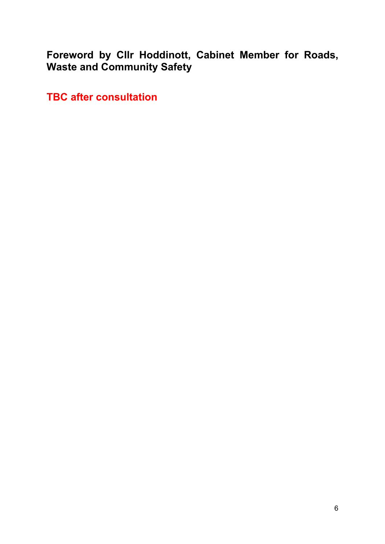<span id="page-5-0"></span>**Foreword by Cllr Hoddinott, Cabinet Member for Roads, Waste and Community Safety**

**TBC after consultation**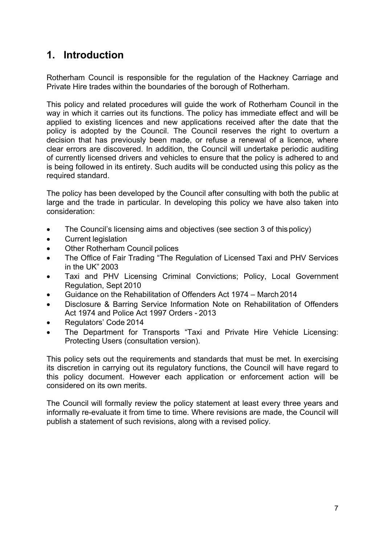# <span id="page-6-0"></span>**1. Introduction**

Rotherham Council is responsible for the regulation of the Hackney Carriage and Private Hire trades within the boundaries of the borough of Rotherham.

This policy and related procedures will guide the work of Rotherham Council in the way in which it carries out its functions. The policy has immediate effect and will be applied to existing licences and new applications received after the date that the policy is adopted by the Council. The Council reserves the right to overturn a decision that has previously been made, or refuse a renewal of a licence, where clear errors are discovered. In addition, the Council will undertake periodic auditing of currently licensed drivers and vehicles to ensure that the policy is adhered to and is being followed in its entirety. Such audits will be conducted using this policy as the required standard.

The policy has been developed by the Council after consulting with both the public at large and the trade in particular. In developing this policy we have also taken into consideration:

- The Council's licensing aims and objectives (see section 3 of this policy)
- Current legislation
- Other Rotherham Council polices
- The Office of Fair Trading "The Regulation of Licensed Taxi and PHV Services in the UK" 2003
- Taxi and PHV Licensing Criminal Convictions; Policy, Local Government Regulation, Sept 2010
- Guidance on the Rehabilitation of Offenders Act 1974 March 2014
- Disclosure & Barring Service Information Note on Rehabilitation of Offenders Act 1974 and Police Act 1997 Orders - 2013
- Regulators' Code 2014
- The Department for Transports "Taxi and Private Hire Vehicle Licensing: Protecting Users (consultation version).

This policy sets out the requirements and standards that must be met. In exercising its discretion in carrying out its regulatory functions, the Council will have regard to this policy document. However each application or enforcement action will be considered on its own merits.

The Council will formally review the policy statement at least every three years and informally re-evaluate it from time to time. Where revisions are made, the Council will publish a statement of such revisions, along with a revised policy.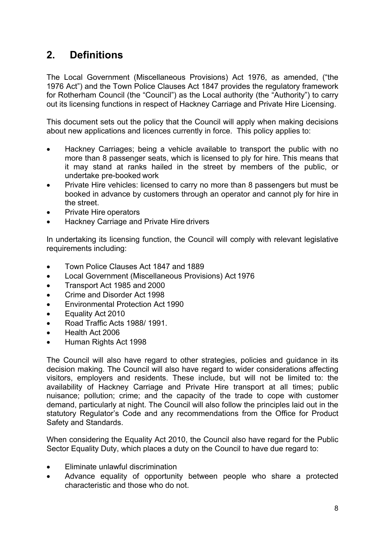# <span id="page-7-0"></span>**2. Definitions**

The Local Government (Miscellaneous Provisions) Act 1976, as amended, ("the 1976 Act") and the Town Police Clauses Act 1847 provides the regulatory framework for Rotherham Council (the "Council") as the Local authority (the "Authority") to carry out its licensing functions in respect of Hackney Carriage and Private Hire Licensing.

This document sets out the policy that the Council will apply when making decisions about new applications and licences currently in force. This policy applies to:

- Hackney Carriages; being a vehicle available to transport the public with no more than 8 passenger seats, which is licensed to ply for hire. This means that it may stand at ranks hailed in the street by members of the public, or undertake pre-booked work
- Private Hire vehicles: licensed to carry no more than 8 passengers but must be booked in advance by customers through an operator and cannot ply for hire in the street.
- Private Hire operators
- Hackney Carriage and Private Hire drivers

In undertaking its licensing function, the Council will comply with relevant legislative requirements including:

- Town Police Clauses Act 1847 and 1889
- Local Government (Miscellaneous Provisions) Act 1976
- Transport Act 1985 and 2000
- Crime and Disorder Act 1998
- Environmental Protection Act 1990
- Equality Act 2010
- Road Traffic Acts 1988/ 1991.
- Health Act 2006
- Human Rights Act 1998

The Council will also have regard to other strategies, policies and guidance in its decision making. The Council will also have regard to wider considerations affecting visitors, employers and residents. These include, but will not be limited to: the availability of Hackney Carriage and Private Hire transport at all times; public nuisance; pollution; crime; and the capacity of the trade to cope with customer demand, particularly at night. The Council will also follow the principles laid out in the statutory Regulator's Code and any recommendations from the Office for Product Safety and Standards.

When considering the Equality Act 2010, the Council also have regard for the Public Sector Equality Duty, which places a duty on the Council to have due regard to:

- Eliminate unlawful discrimination
- Advance equality of opportunity between people who share a protected characteristic and those who do not.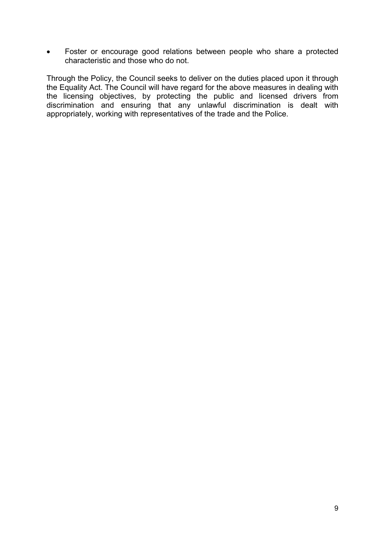Foster or encourage good relations between people who share a protected characteristic and those who do not.

Through the Policy, the Council seeks to deliver on the duties placed upon it through the Equality Act. The Council will have regard for the above measures in dealing with the licensing objectives, by protecting the public and licensed drivers from discrimination and ensuring that any unlawful discrimination is dealt with appropriately, working with representatives of the trade and the Police.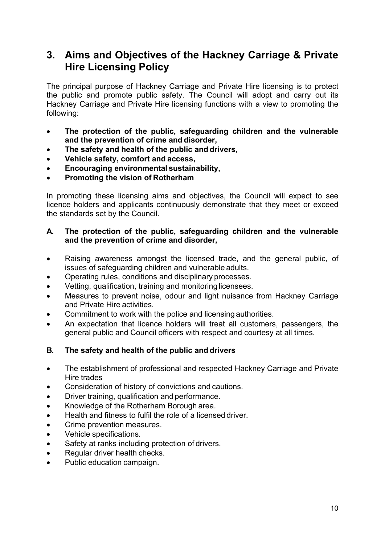# <span id="page-9-0"></span>**3. Aims and Objectives of the Hackney Carriage & Private Hire Licensing Policy**

The principal purpose of Hackney Carriage and Private Hire licensing is to protect the public and promote public safety. The Council will adopt and carry out its Hackney Carriage and Private Hire licensing functions with a view to promoting the following:

- **The protection of the public, safeguarding children and the vulnerable and the prevention of crime and disorder,**
- **The safety and health of the public and drivers,**
- **Vehicle safety, comfort and access,**
- **Encouraging environmental sustainability,**
- **Promoting the vision of Rotherham**

In promoting these licensing aims and objectives, the Council will expect to see licence holders and applicants continuously demonstrate that they meet or exceed the standards set by the Council.

#### **A. The protection of the public, safeguarding children and the vulnerable and the prevention of crime and disorder,**

- Raising awareness amongst the licensed trade, and the general public, of issues of safeguarding children and vulnerable adults.
- Operating rules, conditions and disciplinary processes.
- Vetting, qualification, training and monitoring licensees.
- Measures to prevent noise, odour and light nuisance from Hackney Carriage and Private Hire activities.
- Commitment to work with the police and licensing authorities.
- An expectation that licence holders will treat all customers, passengers, the general public and Council officers with respect and courtesy at all times.

#### **B. The safety and health of the public and drivers**

- The establishment of professional and respected Hackney Carriage and Private Hire trades
- Consideration of history of convictions and cautions.
- Driver training, qualification and performance.
- Knowledge of the Rotherham Borough area.
- Health and fitness to fulfil the role of a licensed driver.
- Crime prevention measures.
- Vehicle specifications.
- Safety at ranks including protection of drivers.
- Regular driver health checks.
- Public education campaign.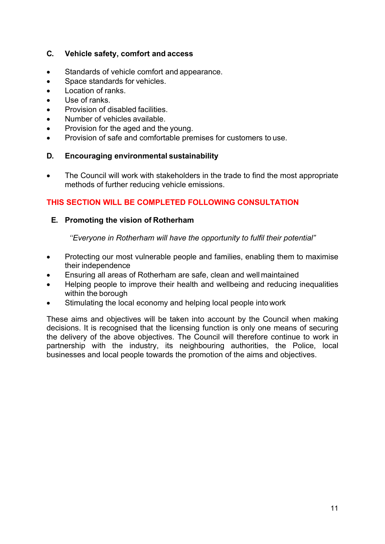#### **C. Vehicle safety, comfort and access**

- Standards of vehicle comfort and appearance.
- Space standards for vehicles.
- Location of ranks.
- Use of ranks.
- Provision of disabled facilities.
- Number of vehicles available.
- Provision for the aged and the young.
- Provision of safe and comfortable premises for customers to use.

#### **D. Encouraging environmental sustainability**

• The Council will work with stakeholders in the trade to find the most appropriate methods of further reducing vehicle emissions.

#### **THIS SECTION WILL BE COMPLETED FOLLOWING CONSULTATION**

#### **E. Promoting the vision of Rotherham**

*''Everyone in Rotherham will have the opportunity to fulfil their potential"*

- Protecting our most vulnerable people and families, enabling them to maximise their independence
- Ensuring all areas of Rotherham are safe, clean and well maintained
- Helping people to improve their health and wellbeing and reducing inequalities within the borough
- Stimulating the local economy and helping local people into work

These aims and objectives will be taken into account by the Council when making decisions. It is recognised that the licensing function is only one means of securing the delivery of the above objectives. The Council will therefore continue to work in partnership with the industry, its neighbouring authorities, the Police, local businesses and local people towards the promotion of the aims and objectives.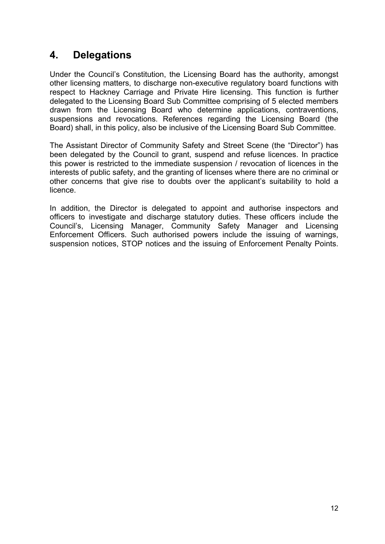# <span id="page-11-0"></span>**4. Delegations**

Under the Council's Constitution, the Licensing Board has the authority, amongst other licensing matters, to discharge non-executive regulatory board functions with respect to Hackney Carriage and Private Hire licensing. This function is further delegated to the Licensing Board Sub Committee comprising of 5 elected members drawn from the Licensing Board who determine applications, contraventions, suspensions and revocations. References regarding the Licensing Board (the Board) shall, in this policy, also be inclusive of the Licensing Board Sub Committee.

The Assistant Director of Community Safety and Street Scene (the "Director") has been delegated by the Council to grant, suspend and refuse licences. In practice this power is restricted to the immediate suspension / revocation of licences in the interests of public safety, and the granting of licenses where there are no criminal or other concerns that give rise to doubts over the applicant's suitability to hold a licence.

In addition, the Director is delegated to appoint and authorise inspectors and officers to investigate and discharge statutory duties. These officers include the Council's, Licensing Manager, Community Safety Manager and Licensing Enforcement Officers. Such authorised powers include the issuing of warnings, suspension notices, STOP notices and the issuing of Enforcement Penalty Points.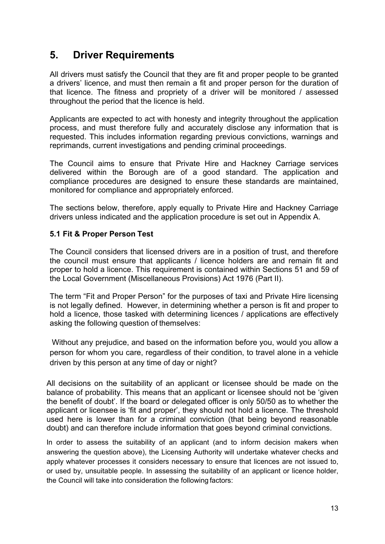## <span id="page-12-0"></span>**5. Driver Requirements**

All drivers must satisfy the Council that they are fit and proper people to be granted a drivers' licence, and must then remain a fit and proper person for the duration of that licence. The fitness and propriety of a driver will be monitored / assessed throughout the period that the licence is held.

Applicants are expected to act with honesty and integrity throughout the application process, and must therefore fully and accurately disclose any information that is requested. This includes information regarding previous convictions, warnings and reprimands, current investigations and pending criminal proceedings.

The Council aims to ensure that Private Hire and Hackney Carriage services delivered within the Borough are of a good standard. The application and compliance procedures are designed to ensure these standards are maintained, monitored for compliance and appropriately enforced.

The sections below, therefore, apply equally to Private Hire and Hackney Carriage drivers unless indicated and the application procedure is set out in Appendix A.

#### <span id="page-12-1"></span>**5.1 Fit & Proper Person Test**

The Council considers that licensed drivers are in a position of trust, and therefore the council must ensure that applicants / licence holders are and remain fit and proper to hold a licence. This requirement is contained within Sections 51 and 59 of the Local Government (Miscellaneous Provisions) Act 1976 (Part II).

The term "Fit and Proper Person" for the purposes of taxi and Private Hire licensing is not legally defined. However, in determining whether a person is fit and proper to hold a licence, those tasked with determining licences / applications are effectively asking the following question of themselves:

Without any prejudice, and based on the information before you, would you allow a person for whom you care, regardless of their condition, to travel alone in a vehicle driven by this person at any time of day or night?

All decisions on the suitability of an applicant or licensee should be made on the balance of probability. This means that an applicant or licensee should not be 'given the benefit of doubt'. If the board or delegated officer is only 50/50 as to whether the applicant or licensee is 'fit and proper', they should not hold a licence. The threshold used here is lower than for a criminal conviction (that being beyond reasonable doubt) and can therefore include information that goes beyond criminal convictions.

In order to assess the suitability of an applicant (and to inform decision makers when answering the question above), the Licensing Authority will undertake whatever checks and apply whatever processes it considers necessary to ensure that licences are not issued to, or used by, unsuitable people. In assessing the suitability of an applicant or licence holder, the Council will take into consideration the following factors: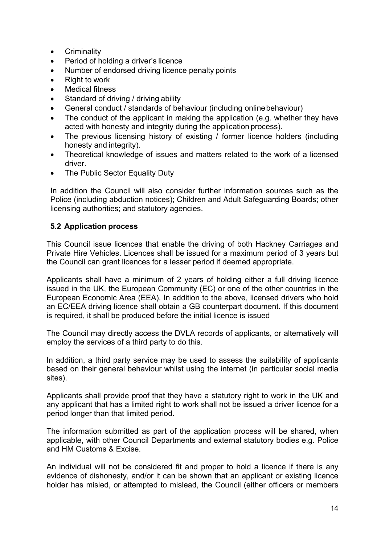- Criminality
- Period of holding a driver's licence
- Number of endorsed driving licence penalty points
- Right to work
- Medical fitness
- Standard of driving / driving ability
- General conduct / standards of behaviour (including onlinebehaviour)
- The conduct of the applicant in making the application (e.g. whether they have acted with honesty and integrity during the application process).
- The previous licensing history of existing / former licence holders (including honesty and integrity).
- Theoretical knowledge of issues and matters related to the work of a licensed driver.
- The Public Sector Equality Duty

In addition the Council will also consider further information sources such as the Police (including abduction notices); Children and Adult Safeguarding Boards; other licensing authorities; and statutory agencies.

#### <span id="page-13-0"></span>**5.2 Application process**

This Council issue licences that enable the driving of both Hackney Carriages and Private Hire Vehicles. Licences shall be issued for a maximum period of 3 years but the Council can grant licences for a lesser period if deemed appropriate.

Applicants shall have a minimum of 2 years of holding either a full driving licence issued in the UK, the European Community (EC) or one of the other countries in the European Economic Area (EEA). In addition to the above, licensed drivers who hold an EC/EEA driving licence shall obtain a GB counterpart document. If this document is required, it shall be produced before the initial licence is issued

The Council may directly access the DVLA records of applicants, or alternatively will employ the services of a third party to do this.

In addition, a third party service may be used to assess the suitability of applicants based on their general behaviour whilst using the internet (in particular social media sites).

Applicants shall provide proof that they have a statutory right to work in the UK and any applicant that has a limited right to work shall not be issued a driver licence for a period longer than that limited period.

The information submitted as part of the application process will be shared, when applicable, with other Council Departments and external statutory bodies e.g. Police and HM Customs & Excise.

An individual will not be considered fit and proper to hold a licence if there is any evidence of dishonesty, and/or it can be shown that an applicant or existing licence holder has misled, or attempted to mislead, the Council (either officers or members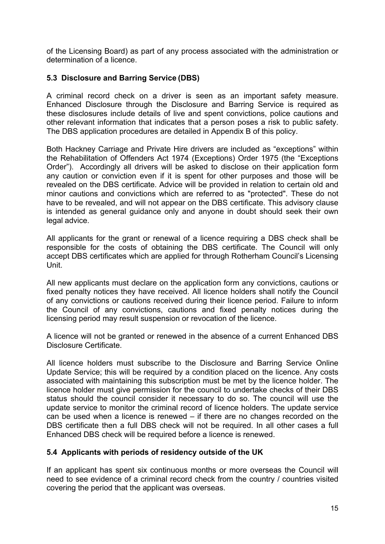of the Licensing Board) as part of any process associated with the administration or determination of a licence.

#### <span id="page-14-0"></span>**5.3 Disclosure and Barring Service (DBS)**

A criminal record check on a driver is seen as an important safety measure. Enhanced Disclosure through the Disclosure and Barring Service is required as these disclosures include details of live and spent convictions, police cautions and other relevant information that indicates that a person poses a risk to public safety. The DBS application procedures are detailed in Appendix B of this policy.

Both Hackney Carriage and Private Hire drivers are included as "exceptions" within the Rehabilitation of Offenders Act 1974 (Exceptions) Order 1975 (the "Exceptions Order"). Accordingly all drivers will be asked to disclose on their application form any caution or conviction even if it is spent for other purposes and those will be revealed on the DBS certificate. Advice will be provided in relation to certain old and minor cautions and convictions which are referred to as "protected". These do not have to be revealed, and will not appear on the DBS certificate. This advisory clause is intended as general guidance only and anyone in doubt should seek their own legal advice.

All applicants for the grant or renewal of a licence requiring a DBS check shall be responsible for the costs of obtaining the DBS certificate. The Council will only accept DBS certificates which are applied for through Rotherham Council's Licensing Unit.

All new applicants must declare on the application form any convictions, cautions or fixed penalty notices they have received. All licence holders shall notify the Council of any convictions or cautions received during their licence period. Failure to inform the Council of any convictions, cautions and fixed penalty notices during the licensing period may result suspension or revocation of the licence.

A licence will not be granted or renewed in the absence of a current Enhanced DBS Disclosure Certificate.

All licence holders must subscribe to the Disclosure and Barring Service Online Update Service; this will be required by a condition placed on the licence. Any costs associated with maintaining this subscription must be met by the licence holder. The licence holder must give permission for the council to undertake checks of their DBS status should the council consider it necessary to do so. The council will use the update service to monitor the criminal record of licence holders. The update service can be used when a licence is renewed – if there are no changes recorded on the DBS certificate then a full DBS check will not be required. In all other cases a full Enhanced DBS check will be required before a licence is renewed.

#### <span id="page-14-1"></span>**5.4 Applicants with periods of residency outside of the UK**

If an applicant has spent six continuous months or more overseas the Council will need to see evidence of a criminal record check from the country / countries visited covering the period that the applicant was overseas.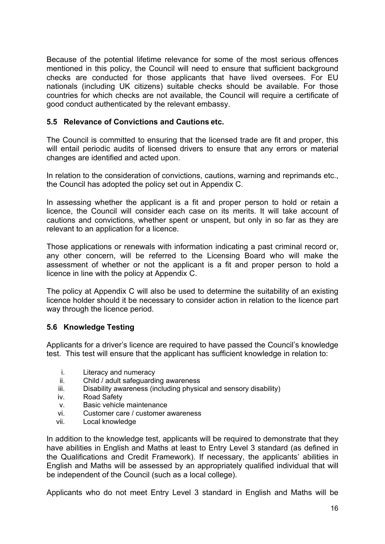Because of the potential lifetime relevance for some of the most serious offences mentioned in this policy, the Council will need to ensure that sufficient background checks are conducted for those applicants that have lived oversees. For EU nationals (including UK citizens) suitable checks should be available. For those countries for which checks are not available, the Council will require a certificate of good conduct authenticated by the relevant embassy.

#### <span id="page-15-0"></span>**5.5 Relevance of Convictions and Cautions etc.**

The Council is committed to ensuring that the licensed trade are fit and proper, this will entail periodic audits of licensed drivers to ensure that any errors or material changes are identified and acted upon.

In relation to the consideration of convictions, cautions, warning and reprimands etc., the Council has adopted the policy set out in Appendix C.

In assessing whether the applicant is a fit and proper person to hold or retain a licence, the Council will consider each case on its merits. It will take account of cautions and convictions, whether spent or unspent, but only in so far as they are relevant to an application for a licence.

Those applications or renewals with information indicating a past criminal record or, any other concern, will be referred to the Licensing Board who will make the assessment of whether or not the applicant is a fit and proper person to hold a licence in line with the policy at Appendix C.

The policy at Appendix C will also be used to determine the suitability of an existing licence holder should it be necessary to consider action in relation to the licence part way through the licence period.

#### <span id="page-15-1"></span>**5.6 Knowledge Testing**

Applicants for a driver's licence are required to have passed the Council's knowledge test. This test will ensure that the applicant has sufficient knowledge in relation to:

- i. Literacy and numeracy
- ii. Child / adult safeguarding awareness
- iii. Disability awareness (including physical and sensory disability)
- iv. Road Safety
- v. Basic vehicle maintenance
- vi. Customer care / customer awareness
- vii. Local knowledge

In addition to the knowledge test, applicants will be required to demonstrate that they have abilities in English and Maths at least to Entry Level 3 standard (as defined in the Qualifications and Credit Framework). If necessary, the applicants' abilities in English and Maths will be assessed by an appropriately qualified individual that will be independent of the Council (such as a local college).

Applicants who do not meet Entry Level 3 standard in English and Maths will be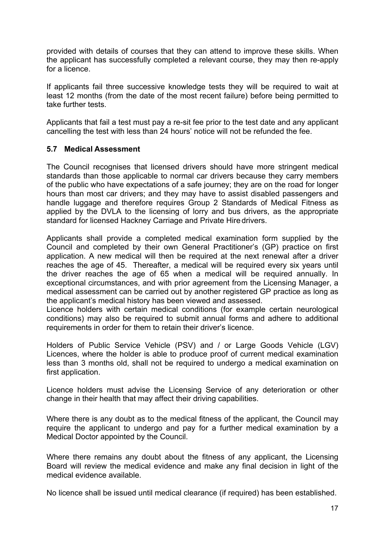provided with details of courses that they can attend to improve these skills. When the applicant has successfully completed a relevant course, they may then re-apply for a licence.

If applicants fail three successive knowledge tests they will be required to wait at least 12 months (from the date of the most recent failure) before being permitted to take further tests.

Applicants that fail a test must pay a re-sit fee prior to the test date and any applicant cancelling the test with less than 24 hours' notice will not be refunded the fee.

#### <span id="page-16-0"></span>**5.7 Medical Assessment**

The Council recognises that licensed drivers should have more stringent medical standards than those applicable to normal car drivers because they carry members of the public who have expectations of a safe journey; they are on the road for longer hours than most car drivers; and they may have to assist disabled passengers and handle luggage and therefore requires Group 2 Standards of Medical Fitness as applied by the DVLA to the licensing of lorry and bus drivers, as the appropriate standard for licensed Hackney Carriage and Private Hire drivers.

Applicants shall provide a completed medical examination form supplied by the Council and completed by their own General Practitioner's (GP) practice on first application. A new medical will then be required at the next renewal after a driver reaches the age of 45. Thereafter, a medical will be required every six years until the driver reaches the age of 65 when a medical will be required annually. In exceptional circumstances, and with prior agreement from the Licensing Manager, a medical assessment can be carried out by another registered GP practice as long as the applicant's medical history has been viewed and assessed.

Licence holders with certain medical conditions (for example certain neurological conditions) may also be required to submit annual forms and adhere to additional requirements in order for them to retain their driver's licence.

Holders of Public Service Vehicle (PSV) and / or Large Goods Vehicle (LGV) Licences, where the holder is able to produce proof of current medical examination less than 3 months old, shall not be required to undergo a medical examination on first application.

Licence holders must advise the Licensing Service of any deterioration or other change in their health that may affect their driving capabilities.

Where there is any doubt as to the medical fitness of the applicant, the Council may require the applicant to undergo and pay for a further medical examination by a Medical Doctor appointed by the Council.

Where there remains any doubt about the fitness of any applicant, the Licensing Board will review the medical evidence and make any final decision in light of the medical evidence available.

No licence shall be issued until medical clearance (if required) has been established.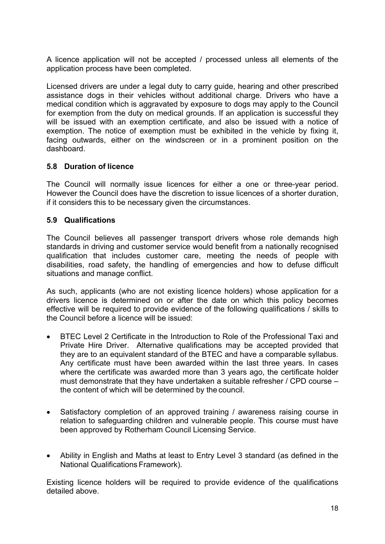A licence application will not be accepted / processed unless all elements of the application process have been completed.

Licensed drivers are under a legal duty to carry guide, hearing and other prescribed assistance dogs in their vehicles without additional charge. Drivers who have a medical condition which is aggravated by exposure to dogs may apply to the Council for exemption from the duty on medical grounds. If an application is successful they will be issued with an exemption certificate, and also be issued with a notice of exemption. The notice of exemption must be exhibited in the vehicle by fixing it, facing outwards, either on the windscreen or in a prominent position on the dashboard.

#### <span id="page-17-0"></span>**5.8 Duration of licence**

The Council will normally issue licences for either a one or three-year period. However the Council does have the discretion to issue licences of a shorter duration, if it considers this to be necessary given the circumstances.

#### <span id="page-17-1"></span>**5.9 Qualifications**

The Council believes all passenger transport drivers whose role demands high standards in driving and customer service would benefit from a nationally recognised qualification that includes customer care, meeting the needs of people with disabilities, road safety, the handling of emergencies and how to defuse difficult situations and manage conflict.

As such, applicants (who are not existing licence holders) whose application for a drivers licence is determined on or after the date on which this policy becomes effective will be required to provide evidence of the following qualifications / skills to the Council before a licence will be issued:

- BTEC Level 2 Certificate in the Introduction to Role of the Professional Taxi and Private Hire Driver. Alternative qualifications may be accepted provided that they are to an equivalent standard of the BTEC and have a comparable syllabus. Any certificate must have been awarded within the last three years. In cases where the certificate was awarded more than 3 years ago, the certificate holder must demonstrate that they have undertaken a suitable refresher / CPD course – the content of which will be determined by the council.
- Satisfactory completion of an approved training / awareness raising course in relation to safeguarding children and vulnerable people. This course must have been approved by Rotherham Council Licensing Service.
- Ability in English and Maths at least to Entry Level 3 standard (as defined in the National Qualifications Framework).

Existing licence holders will be required to provide evidence of the qualifications detailed above.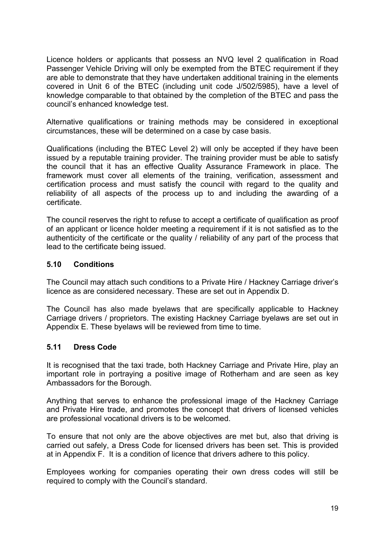Licence holders or applicants that possess an NVQ level 2 qualification in Road Passenger Vehicle Driving will only be exempted from the BTEC requirement if they are able to demonstrate that they have undertaken additional training in the elements covered in Unit 6 of the BTEC (including unit code J/502/5985), have a level of knowledge comparable to that obtained by the completion of the BTEC and pass the council's enhanced knowledge test.

Alternative qualifications or training methods may be considered in exceptional circumstances, these will be determined on a case by case basis.

Qualifications (including the BTEC Level 2) will only be accepted if they have been issued by a reputable training provider. The training provider must be able to satisfy the council that it has an effective Quality Assurance Framework in place. The framework must cover all elements of the training, verification, assessment and certification process and must satisfy the council with regard to the quality and reliability of all aspects of the process up to and including the awarding of a certificate.

The council reserves the right to refuse to accept a certificate of qualification as proof of an applicant or licence holder meeting a requirement if it is not satisfied as to the authenticity of the certificate or the quality / reliability of any part of the process that lead to the certificate being issued.

#### <span id="page-18-0"></span>**5.10 Conditions**

The Council may attach such conditions to a Private Hire / Hackney Carriage driver's licence as are considered necessary. These are set out in Appendix D.

The Council has also made byelaws that are specifically applicable to Hackney Carriage drivers / proprietors. The existing Hackney Carriage byelaws are set out in Appendix E. These byelaws will be reviewed from time to time.

#### <span id="page-18-1"></span>**5.11 Dress Code**

It is recognised that the taxi trade, both Hackney Carriage and Private Hire, play an important role in portraying a positive image of Rotherham and are seen as key Ambassadors for the Borough.

Anything that serves to enhance the professional image of the Hackney Carriage and Private Hire trade, and promotes the concept that drivers of licensed vehicles are professional vocational drivers is to be welcomed.

To ensure that not only are the above objectives are met but, also that driving is carried out safely, a Dress Code for licensed drivers has been set. This is provided at in Appendix F. It is a condition of licence that drivers adhere to this policy.

Employees working for companies operating their own dress codes will still be required to comply with the Council's standard.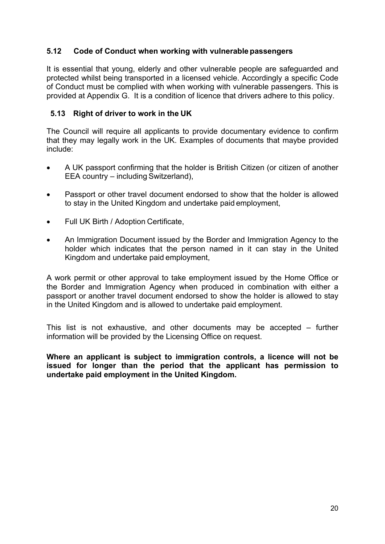#### <span id="page-19-0"></span>**5.12 Code of Conduct when working with vulnerable passengers**

It is essential that young, elderly and other vulnerable people are safeguarded and protected whilst being transported in a licensed vehicle. Accordingly a specific Code of Conduct must be complied with when working with vulnerable passengers. This is provided at Appendix G. It is a condition of licence that drivers adhere to this policy.

#### <span id="page-19-1"></span>**5.13 Right of driver to work in the UK**

The Council will require all applicants to provide documentary evidence to confirm that they may legally work in the UK. Examples of documents that maybe provided include:

- A UK passport confirming that the holder is British Citizen (or citizen of another EEA country – including Switzerland),
- Passport or other travel document endorsed to show that the holder is allowed to stay in the United Kingdom and undertake paid employment,
- Full UK Birth / Adoption Certificate,
- An Immigration Document issued by the Border and Immigration Agency to the holder which indicates that the person named in it can stay in the United Kingdom and undertake paid employment,

A work permit or other approval to take employment issued by the Home Office or the Border and Immigration Agency when produced in combination with either a passport or another travel document endorsed to show the holder is allowed to stay in the United Kingdom and is allowed to undertake paid employment.

This list is not exhaustive, and other documents may be accepted – further information will be provided by the Licensing Office on request.

**Where an applicant is subject to immigration controls, a licence will not be issued for longer than the period that the applicant has permission to undertake paid employment in the United Kingdom.**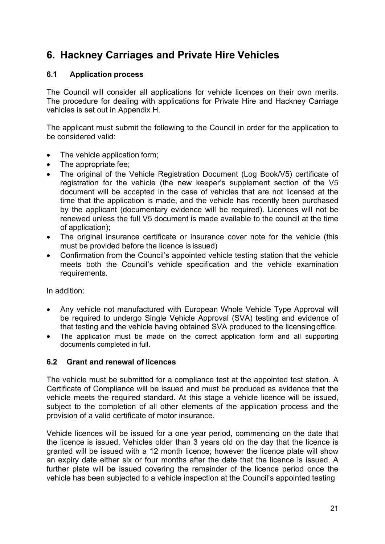# <span id="page-20-0"></span>**6. Hackney Carriages and Private Hire Vehicles**

#### <span id="page-20-1"></span>**6.1 Application process**

The Council will consider all applications for vehicle licences on their own merits. The procedure for dealing with applications for Private Hire and Hackney Carriage vehicles is set out in Appendix H.

The applicant must submit the following to the Council in order for the application to be considered valid:

- The vehicle application form;
- The appropriate fee;
- The original of the Vehicle Registration Document (Log Book/V5) certificate of registration for the vehicle (the new keeper's supplement section of the V5 document will be accepted in the case of vehicles that are not licensed at the time that the application is made, and the vehicle has recently been purchased by the applicant (documentary evidence will be required). Licences will not be renewed unless the full V5 document is made available to the council at the time of application);
- The original insurance certificate or insurance cover note for the vehicle (this must be provided before the licence is issued)
- Confirmation from the Council's appointed vehicle testing station that the vehicle meets both the Council's vehicle specification and the vehicle examination requirements.

In addition:

- Any vehicle not manufactured with European Whole Vehicle Type Approval will be required to undergo Single Vehicle Approval (SVA) testing and evidence of that testing and the vehicle having obtained SVA produced to the licensingoffice.
- The application must be made on the correct application form and all supporting documents completed in full.

#### <span id="page-20-2"></span>**6.2 Grant and renewal of licences**

The vehicle must be submitted for a compliance test at the appointed test station. A Certificate of Compliance will be issued and must be produced as evidence that the vehicle meets the required standard. At this stage a vehicle licence will be issued, subject to the completion of all other elements of the application process and the provision of a valid certificate of motor insurance.

Vehicle licences will be issued for a one year period, commencing on the date that the licence is issued. Vehicles older than 3 years old on the day that the licence is granted will be issued with a 12 month licence; however the licence plate will show an expiry date either six or four months after the date that the licence is issued. A further plate will be issued covering the remainder of the licence period once the vehicle has been subjected to a vehicle inspection at the Council's appointed testing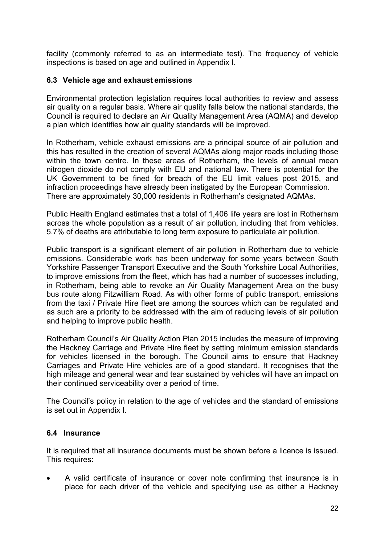facility (commonly referred to as an intermediate test). The frequency of vehicle inspections is based on age and outlined in Appendix I.

#### <span id="page-21-0"></span>**6.3 Vehicle age and exhaust emissions**

Environmental protection legislation requires local authorities to review and assess air quality on a regular basis. Where air quality falls below the national standards, the Council is required to declare an Air Quality Management Area (AQMA) and develop a plan which identifies how air quality standards will be improved.

In Rotherham, vehicle exhaust emissions are a principal source of air pollution and this has resulted in the creation of several AQMAs along major roads including those within the town centre. In these areas of Rotherham, the levels of annual mean nitrogen dioxide do not comply with EU and national law. There is potential for the UK Government to be fined for breach of the EU limit values post 2015, and infraction proceedings have already been instigated by the European Commission. There are approximately 30,000 residents in Rotherham's designated AQMAs.

Public Health England estimates that a total of 1,406 life years are lost in Rotherham across the whole population as a result of air pollution, including that from vehicles. 5.7% of deaths are attributable to long term exposure to particulate air pollution.

Public transport is a significant element of air pollution in Rotherham due to vehicle emissions. Considerable work has been underway for some years between South Yorkshire Passenger Transport Executive and the South Yorkshire Local Authorities, to improve emissions from the fleet, which has had a number of successes including, in Rotherham, being able to revoke an Air Quality Management Area on the busy bus route along Fitzwilliam Road. As with other forms of public transport, emissions from the taxi / Private Hire fleet are among the sources which can be regulated and as such are a priority to be addressed with the aim of reducing levels of air pollution and helping to improve public health.

Rotherham Council's Air Quality Action Plan 2015 includes the measure of improving the Hackney Carriage and Private Hire fleet by setting minimum emission standards for vehicles licensed in the borough. The Council aims to ensure that Hackney Carriages and Private Hire vehicles are of a good standard. It recognises that the high mileage and general wear and tear sustained by vehicles will have an impact on their continued serviceability over a period of time.

The Council's policy in relation to the age of vehicles and the standard of emissions is set out in Appendix I.

#### <span id="page-21-1"></span>**6.4 Insurance**

It is required that all insurance documents must be shown before a licence is issued. This requires:

 A valid certificate of insurance or cover note confirming that insurance is in place for each driver of the vehicle and specifying use as either a Hackney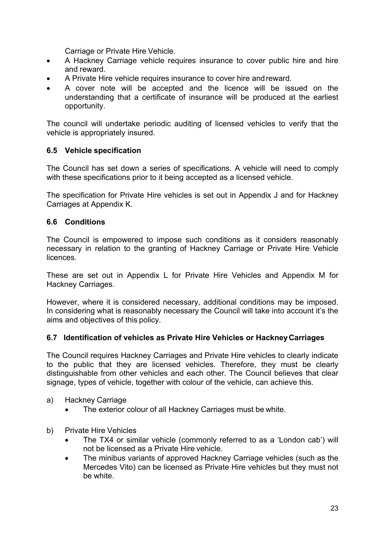Carriage or Private Hire Vehicle.

- A Hackney Carriage vehicle requires insurance to cover public hire and hire and reward.
- A Private Hire vehicle requires insurance to cover hire andreward.
- A cover note will be accepted and the licence will be issued on the understanding that a certificate of insurance will be produced at the earliest opportunity.

The council will undertake periodic auditing of licensed vehicles to verify that the vehicle is appropriately insured.

#### <span id="page-22-0"></span>**6.5 Vehicle specification**

The Council has set down a series of specifications. A vehicle will need to comply with these specifications prior to it being accepted as a licensed vehicle.

The specification for Private Hire vehicles is set out in Appendix J and for Hackney Carriages at Appendix K.

#### <span id="page-22-1"></span>**6.6 Conditions**

The Council is empowered to impose such conditions as it considers reasonably necessary in relation to the granting of Hackney Carriage or Private Hire Vehicle licences.

These are set out in Appendix L for Private Hire Vehicles and Appendix M for Hackney Carriages.

However, where it is considered necessary, additional conditions may be imposed. In considering what is reasonably necessary the Council will take into account it's the aims and objectives of this policy.

#### <span id="page-22-2"></span>**6.7 Identification of vehicles as Private Hire Vehicles or HackneyCarriages**

The Council requires Hackney Carriages and Private Hire vehicles to clearly indicate to the public that they are licensed vehicles. Therefore, they must be clearly distinguishable from other vehicles and each other. The Council believes that clear signage, types of vehicle, together with colour of the vehicle, can achieve this.

- a) Hackney Carriage
	- The exterior colour of all Hackney Carriages must be white.
- b) Private Hire Vehicles
	- The TX4 or similar vehicle (commonly referred to as a 'London cab') will not be licensed as a Private Hire vehicle.
	- The minibus variants of approved Hackney Carriage vehicles (such as the Mercedes Vito) can be licensed as Private Hire vehicles but they must not be white.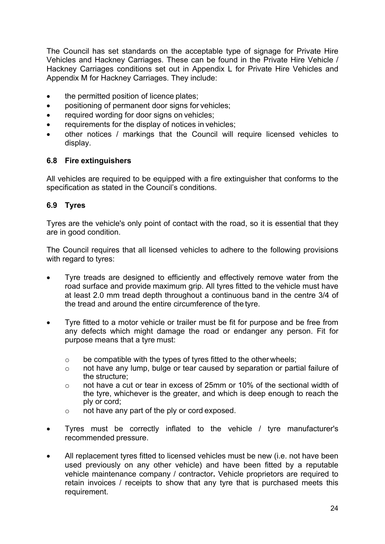The Council has set standards on the acceptable type of signage for Private Hire Vehicles and Hackney Carriages. These can be found in the Private Hire Vehicle / Hackney Carriages conditions set out in Appendix L for Private Hire Vehicles and Appendix M for Hackney Carriages. They include:

- the permitted position of licence plates;
- positioning of permanent door signs for vehicles;
- required wording for door signs on vehicles;
- requirements for the display of notices in vehicles;
- other notices / markings that the Council will require licensed vehicles to display.

#### <span id="page-23-0"></span>**6.8 Fire extinguishers**

All vehicles are required to be equipped with a fire extinguisher that conforms to the specification as stated in the Council's conditions.

#### <span id="page-23-1"></span>**6.9 Tyres**

Tyres are the vehicle's only point of contact with the road, so it is essential that they are in good condition.

The Council requires that all licensed vehicles to adhere to the following provisions with regard to tyres:

- Tyre treads are designed to efficiently and effectively remove water from the road surface and provide maximum grip. All tyres fitted to the vehicle must have at least 2.0 mm tread depth throughout a continuous band in the centre 3/4 of the tread and around the entire circumference of the tyre.
- Tyre fitted to a motor vehicle or trailer must be fit for purpose and be free from any defects which might damage the road or endanger any person. Fit for purpose means that a tyre must:
	- o be compatible with the types of tyres fitted to the other wheels;
	- o not have any lump, bulge or tear caused by separation or partial failure of the structure;
	- o not have a cut or tear in excess of 25mm or 10% of the sectional width of the tyre, whichever is the greater, and which is deep enough to reach the ply or cord;
	- o not have any part of the ply or cord exposed.
- Tyres must be correctly inflated to the vehicle / tyre manufacturer's recommended pressure.
- All replacement tyres fitted to licensed vehicles must be new (i.e. not have been used previously on any other vehicle) and have been fitted by a reputable vehicle maintenance company / contractor**.** Vehicle proprietors are required to retain invoices / receipts to show that any tyre that is purchased meets this requirement.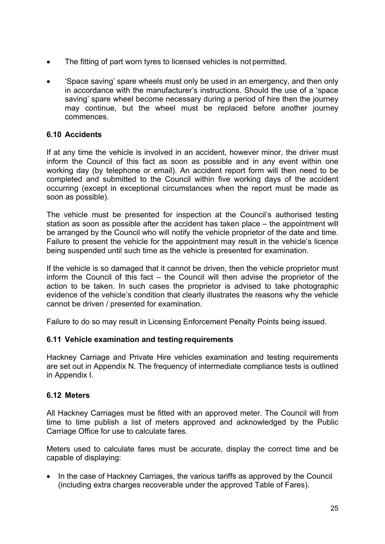- The fitting of part worn tyres to licensed vehicles is not permitted.
- 'Space saving' spare wheels must only be used in an emergency, and then only in accordance with the manufacturer's instructions. Should the use of a 'space saving' spare wheel become necessary during a period of hire then the journey may continue, but the wheel must be replaced before another journey commences.

#### <span id="page-24-0"></span>**6.10 Accidents**

If at any time the vehicle is involved in an accident, however minor, the driver must inform the Council of this fact as soon as possible and in any event within one working day (by telephone or email). An accident report form will then need to be completed and submitted to the Council within five working days of the accident occurring (except in exceptional circumstances when the report must be made as soon as possible).

The vehicle must be presented for inspection at the Council's authorised testing station as soon as possible after the accident has taken place – the appointment will be arranged by the Council who will notify the vehicle proprietor of the date and time. Failure to present the vehicle for the appointment may result in the vehicle's licence being suspended until such time as the vehicle is presented for examination.

If the vehicle is so damaged that it cannot be driven, then the vehicle proprietor must inform the Council of this fact – the Council will then advise the proprietor of the action to be taken. In such cases the proprietor is advised to take photographic evidence of the vehicle's condition that clearly illustrates the reasons why the vehicle cannot be driven / presented for examination.

Failure to do so may result in Licensing Enforcement Penalty Points being issued.

#### <span id="page-24-1"></span>**6.11 Vehicle examination and testing requirements**

Hackney Carriage and Private Hire vehicles examination and testing requirements are set out in Appendix N. The frequency of intermediate compliance tests is outlined in Appendix I.

#### <span id="page-24-2"></span>**6.12 Meters**

All Hackney Carriages must be fitted with an approved meter. The Council will from time to time publish a list of meters approved and acknowledged by the Public Carriage Office for use to calculate fares.

Meters used to calculate fares must be accurate, display the correct time and be capable of displaying:

 In the case of Hackney Carriages, the various tariffs as approved by the Council (including extra charges recoverable under the approved Table of Fares).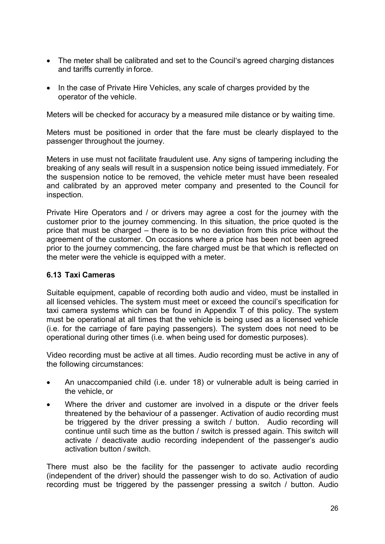- The meter shall be calibrated and set to the Council's agreed charging distances and tariffs currently in force.
- In the case of Private Hire Vehicles, any scale of charges provided by the operator of the vehicle.

Meters will be checked for accuracy by a measured mile distance or by waiting time.

Meters must be positioned in order that the fare must be clearly displayed to the passenger throughout the journey.

Meters in use must not facilitate fraudulent use. Any signs of tampering including the breaking of any seals will result in a suspension notice being issued immediately. For the suspension notice to be removed, the vehicle meter must have been resealed and calibrated by an approved meter company and presented to the Council for inspection.

Private Hire Operators and / or drivers may agree a cost for the journey with the customer prior to the journey commencing. In this situation, the price quoted is the price that must be charged – there is to be no deviation from this price without the agreement of the customer. On occasions where a price has been not been agreed prior to the journey commencing, the fare charged must be that which is reflected on the meter were the vehicle is equipped with a meter.

#### <span id="page-25-0"></span>**6.13 Taxi Cameras**

Suitable equipment, capable of recording both audio and video, must be installed in all licensed vehicles. The system must meet or exceed the council's specification for taxi camera systems which can be found in Appendix T of this policy. The system must be operational at all times that the vehicle is being used as a licensed vehicle (i.e. for the carriage of fare paying passengers). The system does not need to be operational during other times (i.e. when being used for domestic purposes).

Video recording must be active at all times. Audio recording must be active in any of the following circumstances:

- An unaccompanied child (i.e. under 18) or vulnerable adult is being carried in the vehicle, or
- Where the driver and customer are involved in a dispute or the driver feels threatened by the behaviour of a passenger. Activation of audio recording must be triggered by the driver pressing a switch / button. Audio recording will continue until such time as the button / switch is pressed again. This switch will activate / deactivate audio recording independent of the passenger's audio activation button / switch.

There must also be the facility for the passenger to activate audio recording (independent of the driver) should the passenger wish to do so. Activation of audio recording must be triggered by the passenger pressing a switch / button. Audio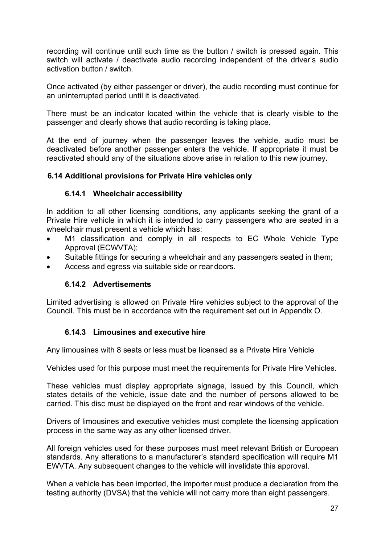recording will continue until such time as the button / switch is pressed again. This switch will activate / deactivate audio recording independent of the driver's audio activation button / switch.

Once activated (by either passenger or driver), the audio recording must continue for an uninterrupted period until it is deactivated.

There must be an indicator located within the vehicle that is clearly visible to the passenger and clearly shows that audio recording is taking place.

At the end of journey when the passenger leaves the vehicle, audio must be deactivated before another passenger enters the vehicle. If appropriate it must be reactivated should any of the situations above arise in relation to this new journey.

#### <span id="page-26-0"></span>**6.14 Additional provisions for Private Hire vehicles only**

#### **6.14.1 Wheelchair accessibility**

In addition to all other licensing conditions, any applicants seeking the grant of a Private Hire vehicle in which it is intended to carry passengers who are seated in a wheelchair must present a vehicle which has:

- M1 classification and comply in all respects to EC Whole Vehicle Type Approval (ECWVTA);
- Suitable fittings for securing a wheelchair and any passengers seated in them;
- Access and egress via suitable side or rear doors.

#### **6.14.2 Advertisements**

Limited advertising is allowed on Private Hire vehicles subject to the approval of the Council. This must be in accordance with the requirement set out in Appendix O.

#### **6.14.3 Limousines and executive hire**

Any limousines with 8 seats or less must be licensed as a Private Hire Vehicle

Vehicles used for this purpose must meet the requirements for Private Hire Vehicles.

These vehicles must display appropriate signage, issued by this Council, which states details of the vehicle, issue date and the number of persons allowed to be carried. This disc must be displayed on the front and rear windows of the vehicle.

Drivers of limousines and executive vehicles must complete the licensing application process in the same way as any other licensed driver.

All foreign vehicles used for these purposes must meet relevant British or European standards. Any alterations to a manufacturer's standard specification will require M1 EWVTA. Any subsequent changes to the vehicle will invalidate this approval.

When a vehicle has been imported, the importer must produce a declaration from the testing authority (DVSA) that the vehicle will not carry more than eight passengers.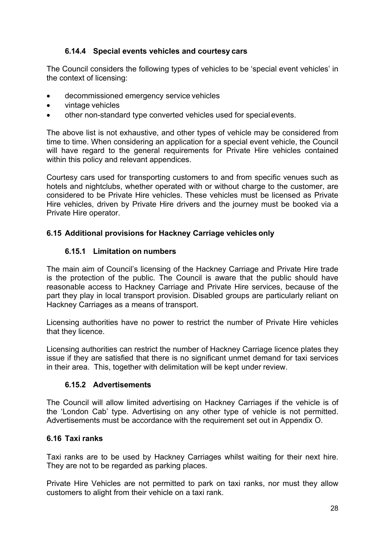#### **6.14.4 Special events vehicles and courtesy cars**

The Council considers the following types of vehicles to be 'special event vehicles' in the context of licensing:

- decommissioned emergency service vehicles
- vintage vehicles
- other non-standard type converted vehicles used for specialevents.

The above list is not exhaustive, and other types of vehicle may be considered from time to time. When considering an application for a special event vehicle, the Council will have regard to the general requirements for Private Hire vehicles contained within this policy and relevant appendices.

Courtesy cars used for transporting customers to and from specific venues such as hotels and nightclubs, whether operated with or without charge to the customer, are considered to be Private Hire vehicles. These vehicles must be licensed as Private Hire vehicles, driven by Private Hire drivers and the journey must be booked via a Private Hire operator.

#### <span id="page-27-0"></span>**6.15 Additional provisions for Hackney Carriage vehicles only**

#### **6.15.1 Limitation on numbers**

The main aim of Council's licensing of the Hackney Carriage and Private Hire trade is the protection of the public. The Council is aware that the public should have reasonable access to Hackney Carriage and Private Hire services, because of the part they play in local transport provision. Disabled groups are particularly reliant on Hackney Carriages as a means of transport.

Licensing authorities have no power to restrict the number of Private Hire vehicles that they licence.

Licensing authorities can restrict the number of Hackney Carriage licence plates they issue if they are satisfied that there is no significant unmet demand for taxi services in their area. This, together with delimitation will be kept under review.

#### **6.15.2 Advertisements**

The Council will allow limited advertising on Hackney Carriages if the vehicle is of the 'London Cab' type. Advertising on any other type of vehicle is not permitted. Advertisements must be accordance with the requirement set out in Appendix O.

#### <span id="page-27-1"></span>**6.16 Taxi ranks**

Taxi ranks are to be used by Hackney Carriages whilst waiting for their next hire. They are not to be regarded as parking places.

Private Hire Vehicles are not permitted to park on taxi ranks, nor must they allow customers to alight from their vehicle on a taxi rank.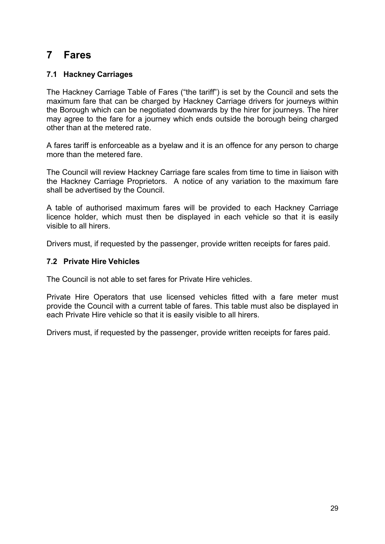### <span id="page-28-0"></span>**7 Fares**

#### <span id="page-28-1"></span>**7.1 Hackney Carriages**

The Hackney Carriage Table of Fares ("the tariff") is set by the Council and sets the maximum fare that can be charged by Hackney Carriage drivers for journeys within the Borough which can be negotiated downwards by the hirer for journeys. The hirer may agree to the fare for a journey which ends outside the borough being charged other than at the metered rate.

A fares tariff is enforceable as a byelaw and it is an offence for any person to charge more than the metered fare.

The Council will review Hackney Carriage fare scales from time to time in liaison with the Hackney Carriage Proprietors. A notice of any variation to the maximum fare shall be advertised by the Council.

A table of authorised maximum fares will be provided to each Hackney Carriage licence holder, which must then be displayed in each vehicle so that it is easily visible to all hirers.

Drivers must, if requested by the passenger, provide written receipts for fares paid.

#### <span id="page-28-2"></span>**7.2 Private Hire Vehicles**

The Council is not able to set fares for Private Hire vehicles.

Private Hire Operators that use licensed vehicles fitted with a fare meter must provide the Council with a current table of fares. This table must also be displayed in each Private Hire vehicle so that it is easily visible to all hirers.

Drivers must, if requested by the passenger, provide written receipts for fares paid.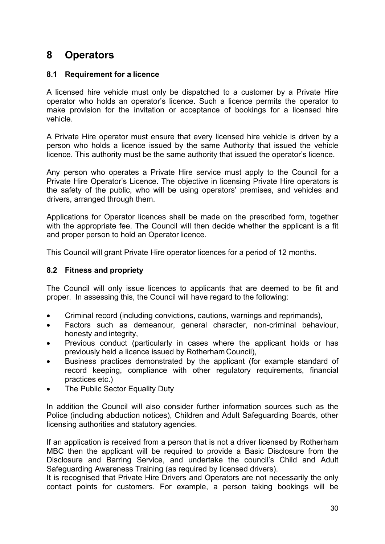# <span id="page-29-0"></span>**8 Operators**

#### <span id="page-29-1"></span>**8.1 Requirement for a licence**

A licensed hire vehicle must only be dispatched to a customer by a Private Hire operator who holds an operator's licence. Such a licence permits the operator to make provision for the invitation or acceptance of bookings for a licensed hire vehicle.

A Private Hire operator must ensure that every licensed hire vehicle is driven by a person who holds a licence issued by the same Authority that issued the vehicle licence. This authority must be the same authority that issued the operator's licence.

Any person who operates a Private Hire service must apply to the Council for a Private Hire Operator's Licence. The objective in licensing Private Hire operators is the safety of the public, who will be using operators' premises, and vehicles and drivers, arranged through them.

Applications for Operator licences shall be made on the prescribed form, together with the appropriate fee. The Council will then decide whether the applicant is a fit and proper person to hold an Operator licence.

This Council will grant Private Hire operator licences for a period of 12 months.

#### <span id="page-29-2"></span>**8.2 Fitness and propriety**

The Council will only issue licences to applicants that are deemed to be fit and proper. In assessing this, the Council will have regard to the following:

- Criminal record (including convictions, cautions, warnings and reprimands),
- Factors such as demeanour, general character, non-criminal behaviour, honesty and integrity,
- Previous conduct (particularly in cases where the applicant holds or has previously held a licence issued by Rotherham Council),
- Business practices demonstrated by the applicant (for example standard of record keeping, compliance with other regulatory requirements, financial practices etc.)
- The Public Sector Equality Duty

In addition the Council will also consider further information sources such as the Police (including abduction notices), Children and Adult Safeguarding Boards, other licensing authorities and statutory agencies.

If an application is received from a person that is not a driver licensed by Rotherham MBC then the applicant will be required to provide a Basic Disclosure from the Disclosure and Barring Service, and undertake the council's Child and Adult Safeguarding Awareness Training (as required by licensed drivers).

It is recognised that Private Hire Drivers and Operators are not necessarily the only contact points for customers. For example, a person taking bookings will be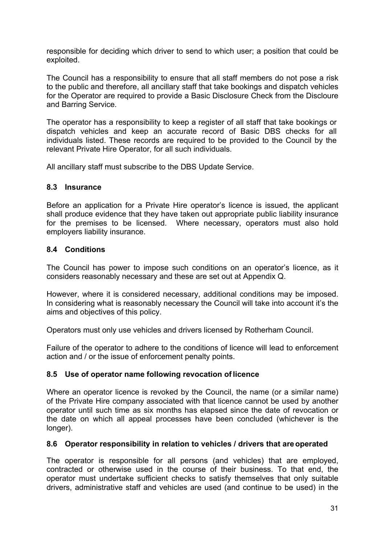responsible for deciding which driver to send to which user; a position that could be exploited.

The Council has a responsibility to ensure that all staff members do not pose a risk to the public and therefore, all ancillary staff that take bookings and dispatch vehicles for the Operator are required to provide a Basic Disclosure Check from the Discloure and Barring Service.

The operator has a responsibility to keep a register of all staff that take bookings or dispatch vehicles and keep an accurate record of Basic DBS checks for all individuals listed. These records are required to be provided to the Council by the relevant Private Hire Operator, for all such individuals.

All ancillary staff must subscribe to the DBS Update Service.

#### <span id="page-30-0"></span>**8.3 Insurance**

Before an application for a Private Hire operator's licence is issued, the applicant shall produce evidence that they have taken out appropriate public liability insurance for the premises to be licensed. Where necessary, operators must also hold employers liability insurance.

#### <span id="page-30-1"></span>**8.4 Conditions**

The Council has power to impose such conditions on an operator's licence, as it considers reasonably necessary and these are set out at Appendix Q.

However, where it is considered necessary, additional conditions may be imposed. In considering what is reasonably necessary the Council will take into account it's the aims and objectives of this policy.

Operators must only use vehicles and drivers licensed by Rotherham Council.

Failure of the operator to adhere to the conditions of licence will lead to enforcement action and / or the issue of enforcement penalty points.

#### <span id="page-30-2"></span>**8.5 Use of operator name following revocation of licence**

Where an operator licence is revoked by the Council, the name (or a similar name) of the Private Hire company associated with that licence cannot be used by another operator until such time as six months has elapsed since the date of revocation or the date on which all appeal processes have been concluded (whichever is the longer).

#### <span id="page-30-3"></span>**8.6 Operator responsibility in relation to vehicles / drivers that areoperated**

The operator is responsible for all persons (and vehicles) that are employed, contracted or otherwise used in the course of their business. To that end, the operator must undertake sufficient checks to satisfy themselves that only suitable drivers, administrative staff and vehicles are used (and continue to be used) in the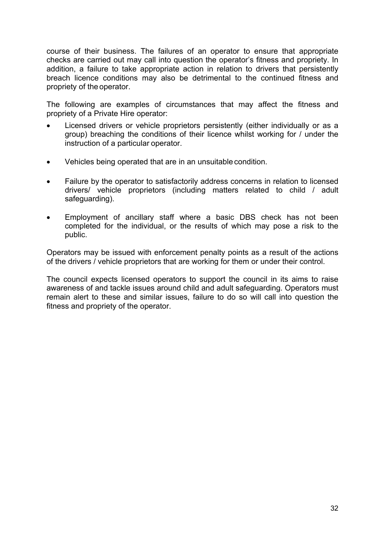course of their business. The failures of an operator to ensure that appropriate checks are carried out may call into question the operator's fitness and propriety. In addition, a failure to take appropriate action in relation to drivers that persistently breach licence conditions may also be detrimental to the continued fitness and propriety of the operator.

The following are examples of circumstances that may affect the fitness and propriety of a Private Hire operator:

- Licensed drivers or vehicle proprietors persistently (either individually or as a group) breaching the conditions of their licence whilst working for / under the instruction of a particular operator.
- Vehicles being operated that are in an unsuitable condition.
- Failure by the operator to satisfactorily address concerns in relation to licensed drivers/ vehicle proprietors (including matters related to child / adult safeguarding).
- Employment of ancillary staff where a basic DBS check has not been completed for the individual, or the results of which may pose a risk to the public.

Operators may be issued with enforcement penalty points as a result of the actions of the drivers / vehicle proprietors that are working for them or under their control.

The council expects licensed operators to support the council in its aims to raise awareness of and tackle issues around child and adult safeguarding. Operators must remain alert to these and similar issues, failure to do so will call into question the fitness and propriety of the operator.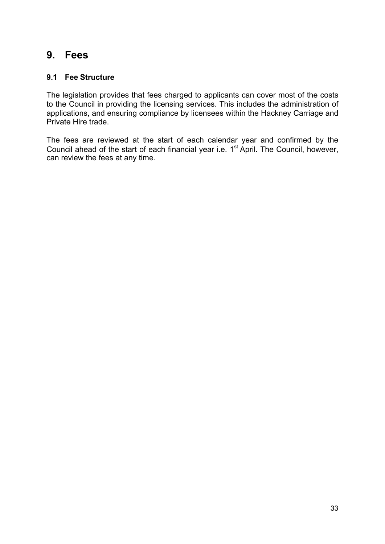### <span id="page-32-0"></span>**9. Fees**

#### <span id="page-32-1"></span>**9.1 Fee Structure**

The legislation provides that fees charged to applicants can cover most of the costs to the Council in providing the licensing services. This includes the administration of applications, and ensuring compliance by licensees within the Hackney Carriage and Private Hire trade.

The fees are reviewed at the start of each calendar year and confirmed by the Council ahead of the start of each financial year i.e. 1<sup>st</sup> April. The Council, however, can review the fees at any time.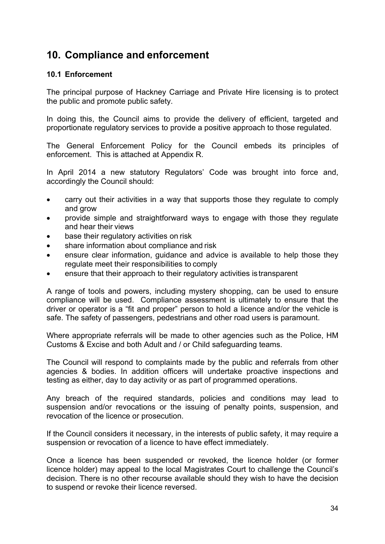# **10. Compliance and enforcement**

#### <span id="page-33-0"></span>**10.1 Enforcement**

The principal purpose of Hackney Carriage and Private Hire licensing is to protect the public and promote public safety.

In doing this, the Council aims to provide the delivery of efficient, targeted and proportionate regulatory services to provide a positive approach to those regulated.

The General Enforcement Policy for the Council embeds its principles of enforcement. This is attached at Appendix R.

In April 2014 a new statutory Regulators' Code was brought into force and, accordingly the Council should:

- carry out their activities in a way that supports those they regulate to comply and grow
- provide simple and straightforward ways to engage with those they regulate and hear their views
- base their regulatory activities on risk
- share information about compliance and risk
- ensure clear information, guidance and advice is available to help those they regulate meet their responsibilities to comply
- ensure that their approach to their regulatory activities is transparent

A range of tools and powers, including mystery shopping, can be used to ensure compliance will be used. Compliance assessment is ultimately to ensure that the driver or operator is a "fit and proper" person to hold a licence and/or the vehicle is safe. The safety of passengers, pedestrians and other road users is paramount.

Where appropriate referrals will be made to other agencies such as the Police, HM Customs & Excise and both Adult and / or Child safeguarding teams.

The Council will respond to complaints made by the public and referrals from other agencies & bodies. In addition officers will undertake proactive inspections and testing as either, day to day activity or as part of programmed operations.

Any breach of the required standards, policies and conditions may lead to suspension and/or revocations or the issuing of penalty points, suspension, and revocation of the licence or prosecution.

If the Council considers it necessary, in the interests of public safety, it may require a suspension or revocation of a licence to have effect immediately.

Once a licence has been suspended or revoked, the licence holder (or former licence holder) may appeal to the local Magistrates Court to challenge the Council's decision. There is no other recourse available should they wish to have the decision to suspend or revoke their licence reversed.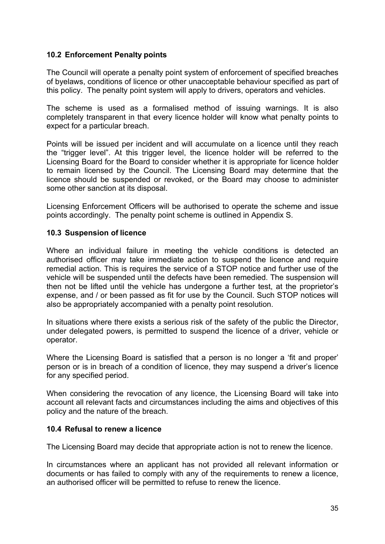#### <span id="page-34-0"></span>**10.2 Enforcement Penalty points**

The Council will operate a penalty point system of enforcement of specified breaches of byelaws, conditions of licence or other unacceptable behaviour specified as part of this policy. The penalty point system will apply to drivers, operators and vehicles.

The scheme is used as a formalised method of issuing warnings. It is also completely transparent in that every licence holder will know what penalty points to expect for a particular breach.

Points will be issued per incident and will accumulate on a licence until they reach the "trigger level". At this trigger level, the licence holder will be referred to the Licensing Board for the Board to consider whether it is appropriate for licence holder to remain licensed by the Council. The Licensing Board may determine that the licence should be suspended or revoked, or the Board may choose to administer some other sanction at its disposal.

Licensing Enforcement Officers will be authorised to operate the scheme and issue points accordingly. The penalty point scheme is outlined in Appendix S.

#### <span id="page-34-1"></span>**10.3 Suspension of licence**

Where an individual failure in meeting the vehicle conditions is detected an authorised officer may take immediate action to suspend the licence and require remedial action. This is requires the service of a STOP notice and further use of the vehicle will be suspended until the defects have been remedied. The suspension will then not be lifted until the vehicle has undergone a further test, at the proprietor's expense, and / or been passed as fit for use by the Council. Such STOP notices will also be appropriately accompanied with a penalty point resolution.

In situations where there exists a serious risk of the safety of the public the Director, under delegated powers, is permitted to suspend the licence of a driver, vehicle or operator.

Where the Licensing Board is satisfied that a person is no longer a 'fit and proper' person or is in breach of a condition of licence, they may suspend a driver's licence for any specified period.

When considering the revocation of any licence, the Licensing Board will take into account all relevant facts and circumstances including the aims and objectives of this policy and the nature of the breach.

#### <span id="page-34-2"></span>**10.4 Refusal to renew a licence**

The Licensing Board may decide that appropriate action is not to renew the licence.

In circumstances where an applicant has not provided all relevant information or documents or has failed to comply with any of the requirements to renew a licence, an authorised officer will be permitted to refuse to renew the licence.